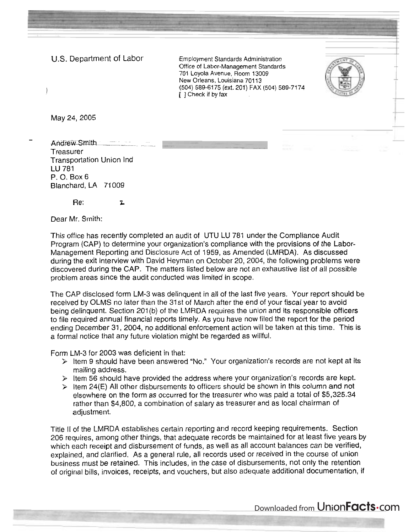U.S. Department of Labor Employment Standards Administration

Office of Labor-Management Standards 701 Loyola Avenue, Room 13009 New Orleans, Louisiana 70113 1 (504) 589-6175 (ext. 201) FAX (504) 589-7174 [ ] Check if by fax



May 24, 2005

-

Andrew Smith **Treasurer** Transportation Union Ind LU 781 P. 0. Box 6 Blanchard, LA 71009

Re: **L** 

Dear Mr. Smith:

This office has recently completed an audit of UTU LU 781 under the Compliance Audit Program (CAP) to determine your organization's compliance with the provisions of the Labor-Management Reporting and Disclosure Act of 1959, as Amended (LMRDA). As discussed during the exit interview with David Heyman on October 20, 2004, the following problems were discovered during the CAP. The matters listed below are not an exhaustive list of all possible problem areas since the audit conducted was limited in scope.

The CAP disclosed form LM-3 was delinquent in all of the last five years. Your report should be received by OLMS no later than the 31 st of March after the end of your fiscal year to avoid being delinguent. Section 201(b) of the LMRDA requires the union and its responsible officers to file required annual financial reports timely. As you have now filed the report for the period ending December 31, 2004, no additional enforcement action will be taken at this time. This is a formal notice that any future violation might be regarded as willful.

Form LM-3 for 2003 was deficient in that:

- 9 ltem 9 should have been answered "No." Your organization's records are not kept at its mailing address.
- $\triangleright$  Item 56 should have provided the address where your organization's records are kept.
- $\geq$  ltem 24(E) All other disbursements to officers should be shown in this column and not elsewhere on the form as occurred for the treasurer who was paid a total of \$5,325.34 rather than \$4,800, a combination of salary as treasurer and as local chairman of adjustment.

Title I1 of the LMRDA establishes certain reporting and record keeping requirements. Section 206 requires, among other things, that adequate records be maintained for at least five years by which each receipt and disbursement of funds, as well as all account balances can be verified, explained, and clarified. As a general rule, all records used or received in the course of union business must be retained. This includes, in the case of disbursements, not only the retention of original bills, invoices, receipts, and vouchers, but also adequate additional documentation, if

Downloaded from UnionFacts.com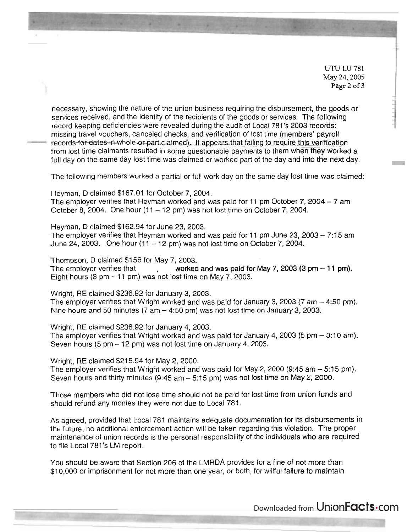UTU LU 781 May 24,2005 **Page** 2 of **3** 

necessary, showing the nature of the union business requiring the disbursement, the goods or services received, and the identity of the recipients of the goods or services. The following record keeping deficiencies were revealed during the audit of Local 781's 2003 records: missing travel vouchers, canceled checks, and verification of lost time (members' payroll records-for-dates-in-whole-or-part-claimed). It appears that failing to require this verification from lost time claimants resulted in some questionable payments to them when they worked a full day on the same day lost time was claimed or worked part of the day and into the next day.

The following members worked a partial or full work day on the same day lost time was claimed:

Heyman, D claimed \$167.01 for October 7, 2004.

The employer verifies that Heyman worked and was paid for 11 pm October 7, 2004  $-7$  am October 8, 2004. One hour  $(11 - 12 \text{ pm})$  was not lost time on October 7, 2004.

Heyman, D claimed \$1 62.94 for June 23,2003. The employer verifies that Heyman worked and was paid for 11 pm June  $23$ ,  $2003 - 7:15$  am

June 24, 2003. One hour  $(11 - 12 \text{ pm})$  was not lost time on October 7, 2004.

Thompson, D claimed \$1 56 for May 7,2003. The employer verifies that  $\qquad \qquad$  worked and was paid for May 7, 2003 (3 pm  $-$  11 pm). Eight hours  $(3 \text{ pm} - 11 \text{ pm})$  was not lost time on May 7, 2003.

Wright, RE claimed \$236.92 for January 3, 2003. The employer verifies that Wright worked and was paid for January 3, 2003 (7 am  $-$  4:50 pm). Nine hours and 50 minutes (7 am  $-$  4:50 pm) was not lost time on January 3, 2003.

Wright, RE claimed \$236.92 for January 4, 2003. The employer verifies that Wright worked and was paid for January 4, 2003 (5 pm  $-$  3:10 am). Seven hours  $(5 \text{ pm} - 12 \text{ pm})$  was not lost time on January 4, 2003.

Wright, RE claimed \$21 5.94 for May 2, 2000.

The employer verifies that Wright worked and was paid for May 2, 2000 (9:45 am - 5:15 pm). Seven hours and thirty minutes  $(9:45 \text{ am} - 5:15 \text{ pm})$  was not lost time on May 2, 2000.

Those members who did not lose time should not be paid for lost time from union funds and should refund any monies they were not due to Local 781.

As agreed, provided that Local 781 maintains adequate documentation for its disbursements in the future, no additional enforcement action will be taken regarding this violation. The proper maintenance of union records is the personal responsibility of the individuals who are required to file Local 781's LM report.

You should be aware that Section 206 of the LMRDA provides for a fine of not more than \$1 0,000 or imprisonment for not more than one year, or both, for willful failure to maintain

Downloaded from Union**Facts** Com